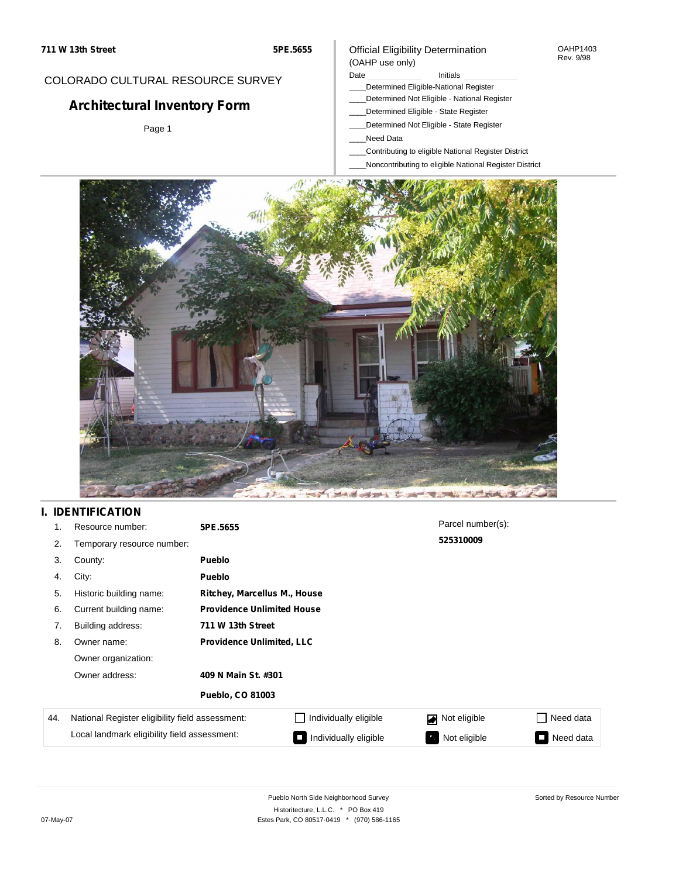### COLORADO CULTURAL RESOURCE SURVEY

# **Architectural Inventory Form**

Page 1

### Official Eligibility Determination (OAHP use only)

Date **Initials** Initials

- \_\_\_\_Determined Eligible-National Register
- \_\_\_\_Determined Not Eligible National Register
- \_\_\_\_Determined Eligible State Register
- \_\_\_\_Determined Not Eligible State Register
- \_\_\_\_Need Data
- \_\_\_\_Contributing to eligible National Register District
- \_\_\_\_Noncontributing to eligible National Register District



## **I. IDENTIFICATION**

| 1.  | Resource number:                                | 5PE.5655                          |                       | Parcel number(s): |           |  |  |
|-----|-------------------------------------------------|-----------------------------------|-----------------------|-------------------|-----------|--|--|
| 2.  | Temporary resource number:                      |                                   |                       | 525310009         |           |  |  |
| 3.  | County:                                         | <b>Pueblo</b>                     |                       |                   |           |  |  |
| 4.  | City:                                           | <b>Pueblo</b>                     |                       |                   |           |  |  |
| 5.  | Historic building name:                         | Ritchey, Marcellus M., House      |                       |                   |           |  |  |
| 6.  | Current building name:                          | <b>Providence Unlimited House</b> |                       |                   |           |  |  |
| 7.  | Building address:                               | 711 W 13th Street                 |                       |                   |           |  |  |
| 8.  | Owner name:                                     | <b>Providence Unlimited, LLC</b>  |                       |                   |           |  |  |
|     | Owner organization:                             |                                   |                       |                   |           |  |  |
|     | Owner address:                                  | 409 N Main St. #301               |                       |                   |           |  |  |
|     |                                                 | <b>Pueblo, CO 81003</b>           |                       |                   |           |  |  |
| 44. | National Register eligibility field assessment: |                                   | Individually eligible | Not eligible      | Need data |  |  |
|     | Local landmark eligibility field assessment:    |                                   | Individually eligible | Not eligible      | Need data |  |  |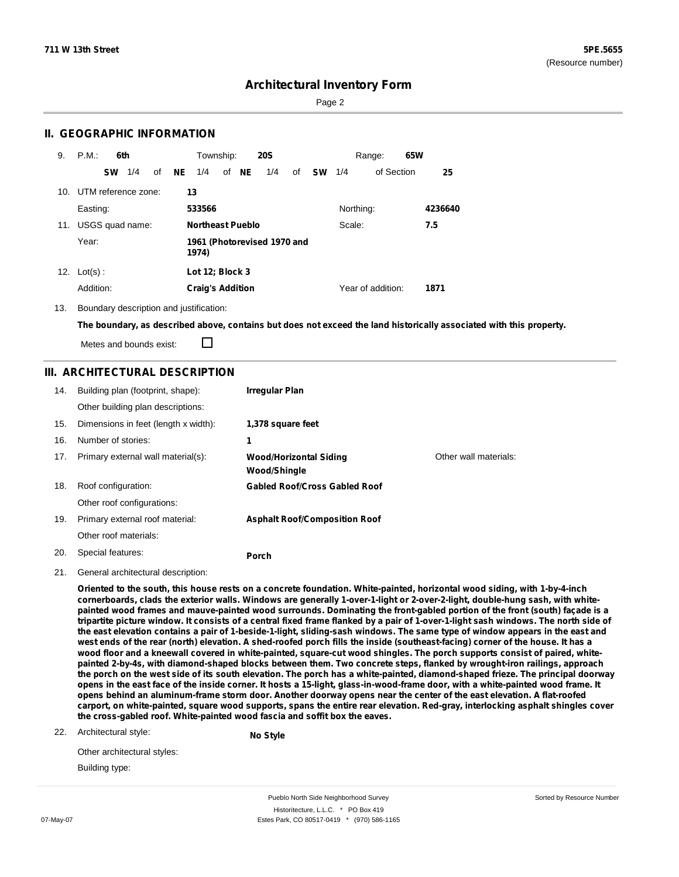Sorted by Resource Number

### **Architectural Inventory Form**

Page 2

### **II. GEOGRAPHIC INFORMATION**

| 9.  | P.M.                    | 6th |    |    | Township:               |       | <b>20S</b>                  |    |    |           | Range:            | 65W |         |
|-----|-------------------------|-----|----|----|-------------------------|-------|-----------------------------|----|----|-----------|-------------------|-----|---------|
|     | <b>SW</b>               | 1/4 | οf | NE | 1/4                     | of NE | 1/4                         | of | sw | 1/4       | of Section        |     | 25      |
|     | 10. UTM reference zone: |     |    |    | 13                      |       |                             |    |    |           |                   |     |         |
|     | Easting:                |     |    |    | 533566                  |       |                             |    |    | Northing: |                   |     | 4236640 |
| 11. | USGS quad name:         |     |    |    | <b>Northeast Pueblo</b> |       |                             |    |    | Scale:    |                   |     | 7.5     |
|     | Year:                   |     |    |    | 1974)                   |       | 1961 (Photorevised 1970 and |    |    |           |                   |     |         |
| 12. | $Lot(s)$ :              |     |    |    | Lot 12; Block 3         |       |                             |    |    |           |                   |     |         |
|     | Addition:               |     |    |    | <b>Craig's Addition</b> |       |                             |    |    |           | Year of addition: |     | 1871    |

13. Boundary description and justification:

The boundary, as described above, contains but does not exceed the land historically associated with this property.

Metes and bounds exist:

П

### **III. ARCHITECTURAL DESCRIPTION**

| 14. | Building plan (footprint, shape):    | Irregular Plan                                       |                       |
|-----|--------------------------------------|------------------------------------------------------|-----------------------|
|     | Other building plan descriptions:    |                                                      |                       |
| 15. | Dimensions in feet (length x width): | 1,378 square feet                                    |                       |
| 16. | Number of stories:                   | 1                                                    |                       |
| 17. | Primary external wall material(s):   | <b>Wood/Horizontal Siding</b><br><b>Wood/Shingle</b> | Other wall materials: |
| 18. | Roof configuration:                  | <b>Gabled Roof/Cross Gabled Roof</b>                 |                       |
|     | Other roof configurations:           |                                                      |                       |
| 19. | Primary external roof material:      | <b>Asphalt Roof/Composition Roof</b>                 |                       |
|     | Other roof materials:                |                                                      |                       |
| 20. | Special features:                    | Porch                                                |                       |

21. General architectural description:

Oriented to the south, this house rests on a concrete foundation. White-painted, horizontal wood siding, with 1-by-4-inch cornerboards, clads the exterior walls. Windows are generally 1-over-1-light or 2-over-2-light, double-hung sash, with whitepainted wood frames and mauve-painted wood surrounds. Dominating the front-gabled portion of the front (south) façade is a tripartite picture window. It consists of a central fixed frame flanked by a pair of 1-over-1-light sash windows. The north side of the east elevation contains a pair of 1-beside-1-light, sliding-sash windows. The same type of window appears in the east and west ends of the rear (north) elevation. A shed-roofed porch fills the inside (southeast-facing) corner of the house. It has a wood floor and a kneewall covered in white-painted, square-cut wood shingles. The porch supports consist of paired, whitepainted 2-by-4s, with diamond-shaped blocks between them. Two concrete steps, flanked by wrought-iron railings, approach the porch on the west side of its south elevation. The porch has a white-painted, diamond-shaped frieze. The principal doorway opens in the east face of the inside corner. It hosts a 15-light, glass-in-wood-frame door, with a white-painted wood frame. It opens behind an aluminum-frame storm door. Another doorway opens near the center of the east elevation. A flat-roofed carport, on white-painted, square wood supports, spans the entire rear elevation. Red-gray, interlocking asphalt shingles cover **the cross-gabled roof. White-painted wood fascia and soffit box the eaves.**

22. Architectural style:

**No Style**

Other architectural styles: Building type:

Pueblo North Side Neighborhood Survey Historitecture, L.L.C. \* PO Box 419 07-May-07 **Estes Park, CO 80517-0419** \* (970) 586-1165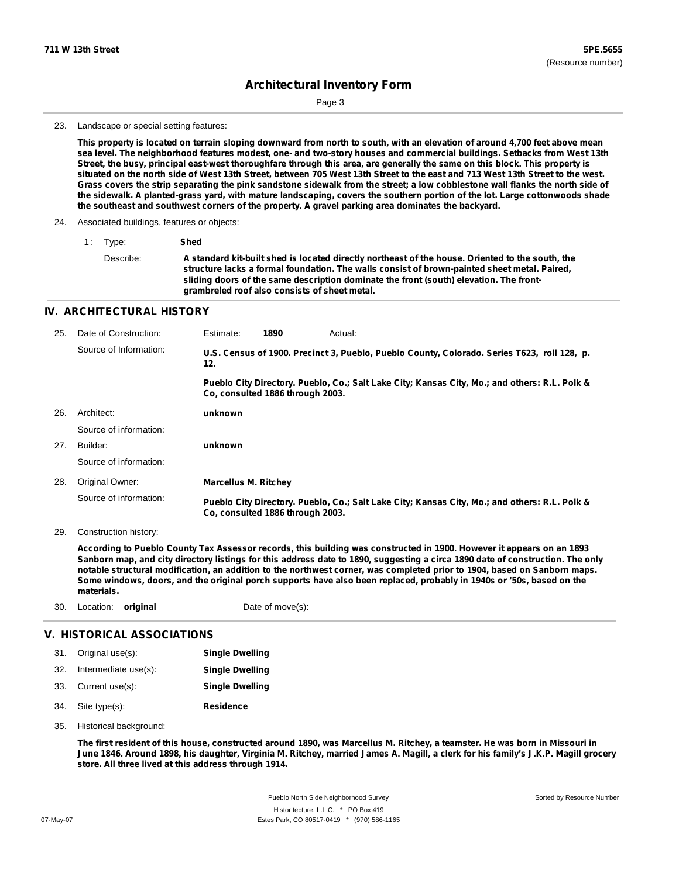Page 3

#### 23. Landscape or special setting features:

This property is located on terrain sloping downward from north to south, with an elevation of around 4,700 feet above mean sea level. The neighborhood features modest, one- and two-story houses and commercial buildings. Setbacks from West 13th Street, the busy, principal east-west thoroughfare through this area, are generally the same on this block. This property is situated on the north side of West 13th Street, between 705 West 13th Street to the east and 713 West 13th Street to the west. Grass covers the strip separating the pink sandstone sidewalk from the street; a low cobblestone wall flanks the north side of the sidewalk. A planted-grass yard, with mature landscaping, covers the southern portion of the lot. Large cottonwoods shade **the southeast and southwest corners of the property. A gravel parking area dominates the backyard.**

#### 24. Associated buildings, features or objects:

1 : Type: **Shed**

| Describe: | A standard kit-built shed is located directly northeast of the house. Oriented to the south, the |
|-----------|--------------------------------------------------------------------------------------------------|
|           | structure lacks a formal foundation. The walls consist of brown-painted sheet metal. Paired,     |
|           | sliding doors of the same description dominate the front (south) elevation. The front-           |
|           | grambreled roof also consists of sheet metal.                                                    |

#### **IV. ARCHITECTURAL HISTORY**

| 25. | Date of Construction:  | Estimate:                        | 1890 | Actual:                                                                                       |
|-----|------------------------|----------------------------------|------|-----------------------------------------------------------------------------------------------|
|     | Source of Information: | 12.                              |      | U.S. Census of 1900. Precinct 3, Pueblo, Pueblo County, Colorado. Series T623, roll 128, p.   |
|     |                        | Co. consulted 1886 through 2003. |      | Pueblo City Directory. Pueblo, Co.; Salt Lake City; Kansas City, Mo.; and others: R.L. Polk & |
| 26. | Architect:             | unknown                          |      |                                                                                               |
|     | Source of information: |                                  |      |                                                                                               |
| 27. | Builder:               | unknown                          |      |                                                                                               |
|     | Source of information: |                                  |      |                                                                                               |
| 28. | Original Owner:        | <b>Marcellus M. Ritchey</b>      |      |                                                                                               |
|     | Source of information: | Co. consulted 1886 through 2003. |      | Pueblo City Directory. Pueblo, Co.; Salt Lake City; Kansas City, Mo.; and others: R.L. Polk & |

29. Construction history:

According to Pueblo County Tax Assessor records, this building was constructed in 1900. However it appears on an 1893 Sanborn map, and city directory listings for this address date to 1890, suggesting a circa 1890 date of construction. The only notable structural modification, an addition to the northwest corner, was completed prior to 1904, based on Sanborn maps. Some windows, doors, and the original porch supports have also been replaced, probably in 1940s or '50s, based on the **materials.**

30. Location: **original** Date of move(s):

#### **V. HISTORICAL ASSOCIATIONS**

| 31. Original use(s):     | <b>Single Dwelling</b> |
|--------------------------|------------------------|
| 32. Intermediate use(s): | <b>Single Dwelling</b> |
| 33. Current use(s):      | <b>Single Dwelling</b> |
| 34. Site type(s):        | <b>Residence</b>       |

35. Historical background:

The first resident of this house, constructed around 1890, was Marcellus M. Ritchey, a teamster. He was born in Missouri in June 1846. Around 1898, his daughter, Virginia M. Ritchey, married James A. Magill, a clerk for his family's J.K.P. Magill grocery **store. All three lived at this address through 1914.**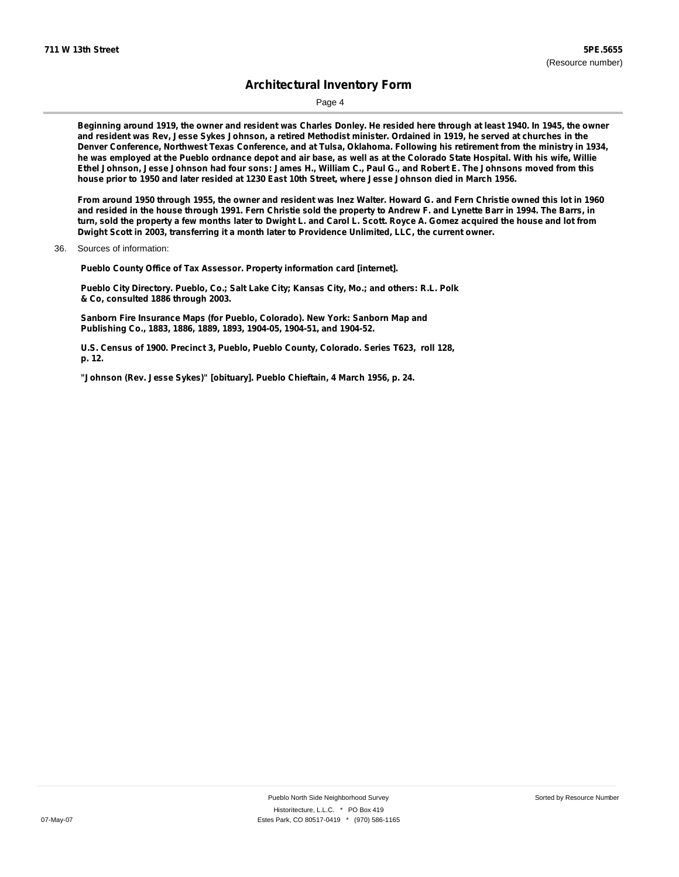Page 4

Beginning around 1919, the owner and resident was Charles Donley. He resided here through at least 1940. In 1945, the owner and resident was Rev, Jesse Sykes Johnson, a retired Methodist minister. Ordained in 1919, he served at churches in the Denver Conference, Northwest Texas Conference, and at Tulsa, Oklahoma. Following his retirement from the ministry in 1934, he was employed at the Pueblo ordnance depot and air base, as well as at the Colorado State Hospital. With his wife, Willie Ethel Johnson, Jesse Johnson had four sons: James H., William C., Paul G., and Robert E. The Johnsons moved from this house prior to 1950 and later resided at 1230 East 10th Street, where Jesse Johnson died in March 1956.

From around 1950 through 1955, the owner and resident was Inez Walter. Howard G. and Fern Christie owned this lot in 1960 and resided in the house through 1991. Fern Christie sold the property to Andrew F. and Lynette Barr in 1994. The Barrs, in turn, sold the property a few months later to Dwight L. and Carol L. Scott. Royce A. Gomez acquired the house and lot from **Dwight Scott in 2003, transferring it a month later to Providence Unlimited, LLC, the current owner.**

**Pueblo County Office of Tax Assessor. Property information card [internet].**

**Pueblo City Directory. Pueblo, Co.; Salt Lake City; Kansas City, Mo.; and others: R.L. Polk & Co, consulted 1886 through 2003.**

**Sanborn Fire Insurance Maps (for Pueblo, Colorado). New York: Sanborn Map and Publishing Co., 1883, 1886, 1889, 1893, 1904-05, 1904-51, and 1904-52.**

**U.S. Census of 1900. Precinct 3, Pueblo, Pueblo County, Colorado. Series T623, roll 128, p. 12.**

**"Johnson (Rev. Jesse Sykes)" [obituary]. Pueblo Chieftain, 4 March 1956, p. 24.**

<sup>36.</sup> Sources of information: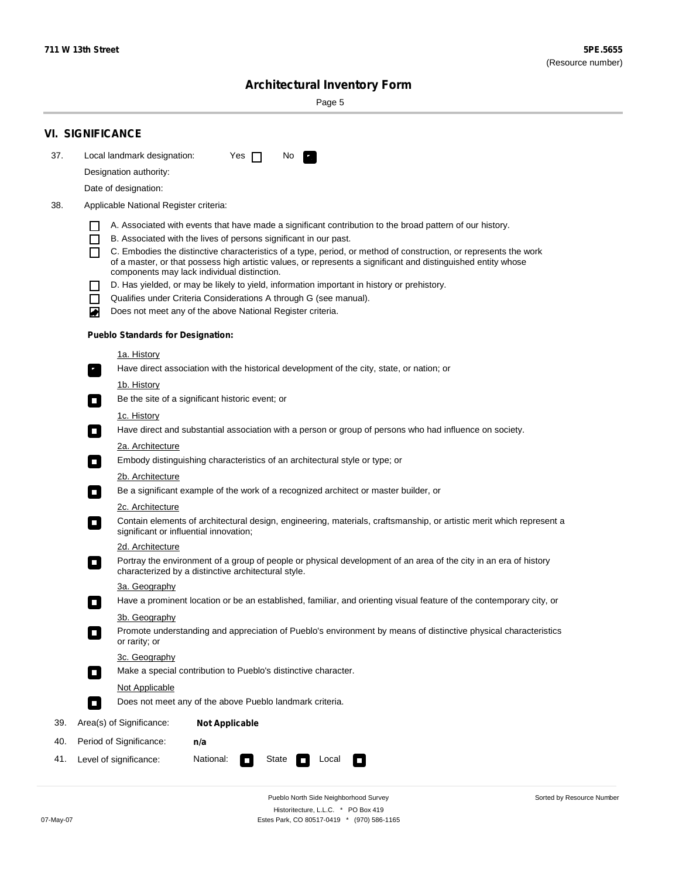Sorted by Resource Number

# **Architectural Inventory Form**

Page 5

|     | <b>VI. SIGNIFICANCE</b>                                                                                                                                                           |  |  |  |  |  |  |  |
|-----|-----------------------------------------------------------------------------------------------------------------------------------------------------------------------------------|--|--|--|--|--|--|--|
| 37. | Local landmark designation:<br>Yes $\Box$<br>No.<br>$\mathbf{F}_{\mathbf{r}}$                                                                                                     |  |  |  |  |  |  |  |
|     | Designation authority:                                                                                                                                                            |  |  |  |  |  |  |  |
|     | Date of designation:                                                                                                                                                              |  |  |  |  |  |  |  |
| 38. | Applicable National Register criteria:                                                                                                                                            |  |  |  |  |  |  |  |
|     | A. Associated with events that have made a significant contribution to the broad pattern of our history.                                                                          |  |  |  |  |  |  |  |
|     | B. Associated with the lives of persons significant in our past.<br>$\blacksquare$                                                                                                |  |  |  |  |  |  |  |
|     | C. Embodies the distinctive characteristics of a type, period, or method of construction, or represents the work<br>П                                                             |  |  |  |  |  |  |  |
|     | of a master, or that possess high artistic values, or represents a significant and distinguished entity whose<br>components may lack individual distinction.                      |  |  |  |  |  |  |  |
|     | D. Has yielded, or may be likely to yield, information important in history or prehistory.                                                                                        |  |  |  |  |  |  |  |
|     | Qualifies under Criteria Considerations A through G (see manual).<br>$\sim$                                                                                                       |  |  |  |  |  |  |  |
|     | Does not meet any of the above National Register criteria.<br>₩                                                                                                                   |  |  |  |  |  |  |  |
|     | <b>Pueblo Standards for Designation:</b>                                                                                                                                          |  |  |  |  |  |  |  |
|     | 1a. History                                                                                                                                                                       |  |  |  |  |  |  |  |
|     | $\overline{\mathbf{r}}_1$<br>Have direct association with the historical development of the city, state, or nation; or                                                            |  |  |  |  |  |  |  |
|     | <u>1b. History</u>                                                                                                                                                                |  |  |  |  |  |  |  |
|     | Be the site of a significant historic event; or<br>$\overline{\phantom{a}}$                                                                                                       |  |  |  |  |  |  |  |
|     | 1c. History                                                                                                                                                                       |  |  |  |  |  |  |  |
|     | Have direct and substantial association with a person or group of persons who had influence on society.<br>$\overline{\phantom{a}}$                                               |  |  |  |  |  |  |  |
|     | 2a. Architecture<br>Embody distinguishing characteristics of an architectural style or type; or                                                                                   |  |  |  |  |  |  |  |
|     | $\Box$                                                                                                                                                                            |  |  |  |  |  |  |  |
|     | 2b. Architecture<br>Be a significant example of the work of a recognized architect or master builder, or<br>$\Box$                                                                |  |  |  |  |  |  |  |
|     | 2c. Architecture                                                                                                                                                                  |  |  |  |  |  |  |  |
|     | Contain elements of architectural design, engineering, materials, craftsmanship, or artistic merit which represent a<br>$\Box$<br>significant or influential innovation;          |  |  |  |  |  |  |  |
|     | 2d. Architecture                                                                                                                                                                  |  |  |  |  |  |  |  |
|     | Portray the environment of a group of people or physical development of an area of the city in an era of history<br>$\Box$<br>characterized by a distinctive architectural style. |  |  |  |  |  |  |  |
|     | 3a. Geography                                                                                                                                                                     |  |  |  |  |  |  |  |
|     | Have a prominent location or be an established, familiar, and orienting visual feature of the contemporary city, or                                                               |  |  |  |  |  |  |  |
|     | 3b. Geography                                                                                                                                                                     |  |  |  |  |  |  |  |
|     | Promote understanding and appreciation of Pueblo's environment by means of distinctive physical characteristics<br>or rarity; or                                                  |  |  |  |  |  |  |  |
|     | 3c. Geography                                                                                                                                                                     |  |  |  |  |  |  |  |
|     | Make a special contribution to Pueblo's distinctive character.<br>$\overline{\phantom{a}}$                                                                                        |  |  |  |  |  |  |  |
|     | <b>Not Applicable</b><br>Does not meet any of the above Pueblo landmark criteria.                                                                                                 |  |  |  |  |  |  |  |
|     | $\overline{\phantom{a}}$                                                                                                                                                          |  |  |  |  |  |  |  |
| 39. | Area(s) of Significance:<br><b>Not Applicable</b>                                                                                                                                 |  |  |  |  |  |  |  |
| 40. | Period of Significance:<br>n/a                                                                                                                                                    |  |  |  |  |  |  |  |
| 41. | Level of significance:<br>National:<br>State<br>Local<br>$\Box$<br>$\sim$                                                                                                         |  |  |  |  |  |  |  |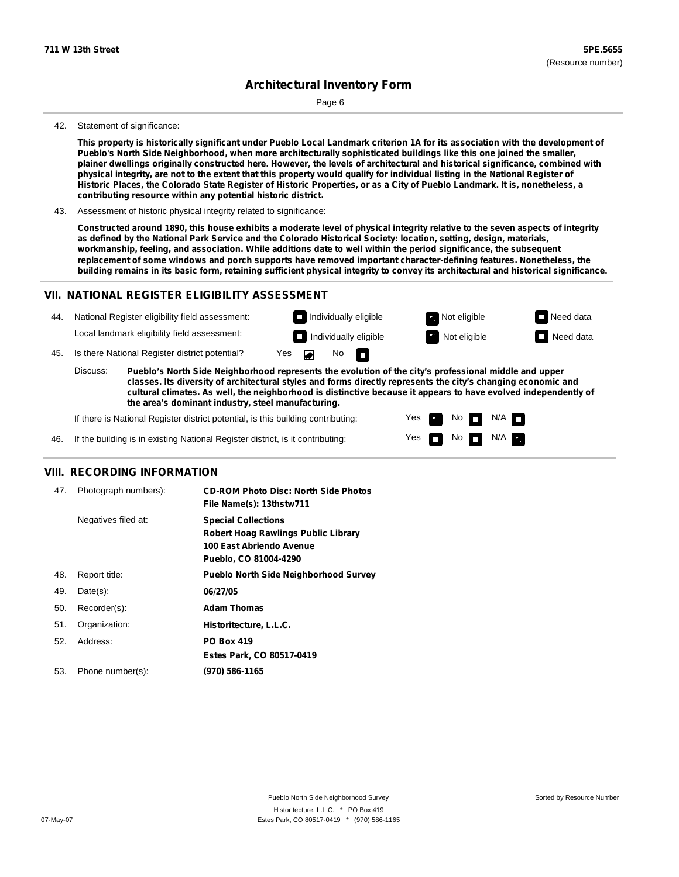Page 6

#### 42. Statement of significance:

This property is historically significant under Pueblo Local Landmark criterion 1A for its association with the development of **Pueblo's North Side Neighborhood, when more architecturally sophisticated buildings like this one joined the smaller,** plainer dwellings originally constructed here. However, the levels of architectural and historical significance, combined with physical integrity, are not to the extent that this property would qualify for individual listing in the National Register of Historic Places, the Colorado State Register of Historic Properties, or as a City of Pueblo Landmark. It is, nonetheless, a **contributing resource within any potential historic district.**

43. Assessment of historic physical integrity related to significance:

Constructed around 1890, this house exhibits a moderate level of physical integrity relative to the seven aspects of integrity as defined by the National Park Service and the Colorado Historical Society: location, setting, design, materials, **workmanship, feeling, and association. While additions date to well within the period significance, the subsequent replacement of some windows and porch supports have removed important character-defining features. Nonetheless, the** building remains in its basic form, retaining sufficient physical integrity to convey its architectural and historical significance.

### **VII. NATIONAL REGISTER ELIGIBILITY ASSESSMENT**



**classes. Its diversity of architectural styles and forms directly represents the city's changing economic and cultural climates. As well, the neighborhood is distinctive because it appears to have evolved independently of the area's dominant industry, steel manufacturing.**

> Yes Yes

**The Second Second** 

Non<sub>d</sub> N/A No  $\blacksquare$  N/A  $\blacksquare$ 

If there is National Register district potential, is this building contributing:

If the building is in existing National Register district, is it contributing: 46.

#### **VIII. RECORDING INFORMATION**

| 47. | Photograph numbers): | <b>CD-ROM Photo Disc: North Side Photos</b><br>File Name(s): 13thstw711                                                       |
|-----|----------------------|-------------------------------------------------------------------------------------------------------------------------------|
|     | Negatives filed at:  | <b>Special Collections</b><br><b>Robert Hoag Rawlings Public Library</b><br>100 East Abriendo Avenue<br>Pueblo, CO 81004-4290 |
| 48. | Report title:        | <b>Pueblo North Side Neighborhood Survey</b>                                                                                  |
| 49. | $Date(s)$ :          | 06/27/05                                                                                                                      |
| 50. | Recorder(s):         | <b>Adam Thomas</b>                                                                                                            |
| 51. | Organization:        | Historitecture, L.L.C.                                                                                                        |
| 52. | Address:             | <b>PO Box 419</b>                                                                                                             |
|     |                      | Estes Park, CO 80517-0419                                                                                                     |
| 53. | Phone number(s):     | (970) 586-1165                                                                                                                |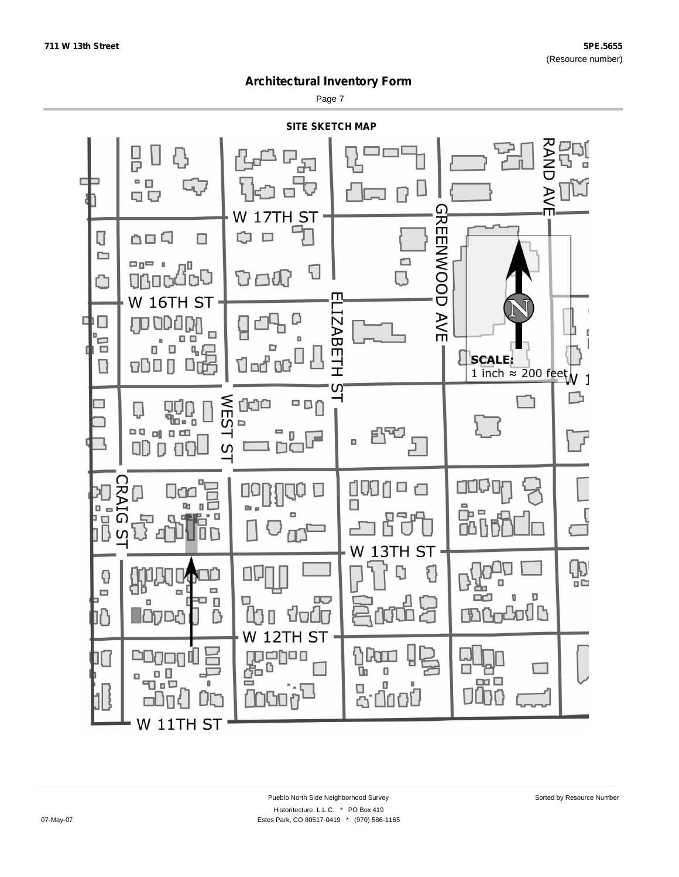Page 7